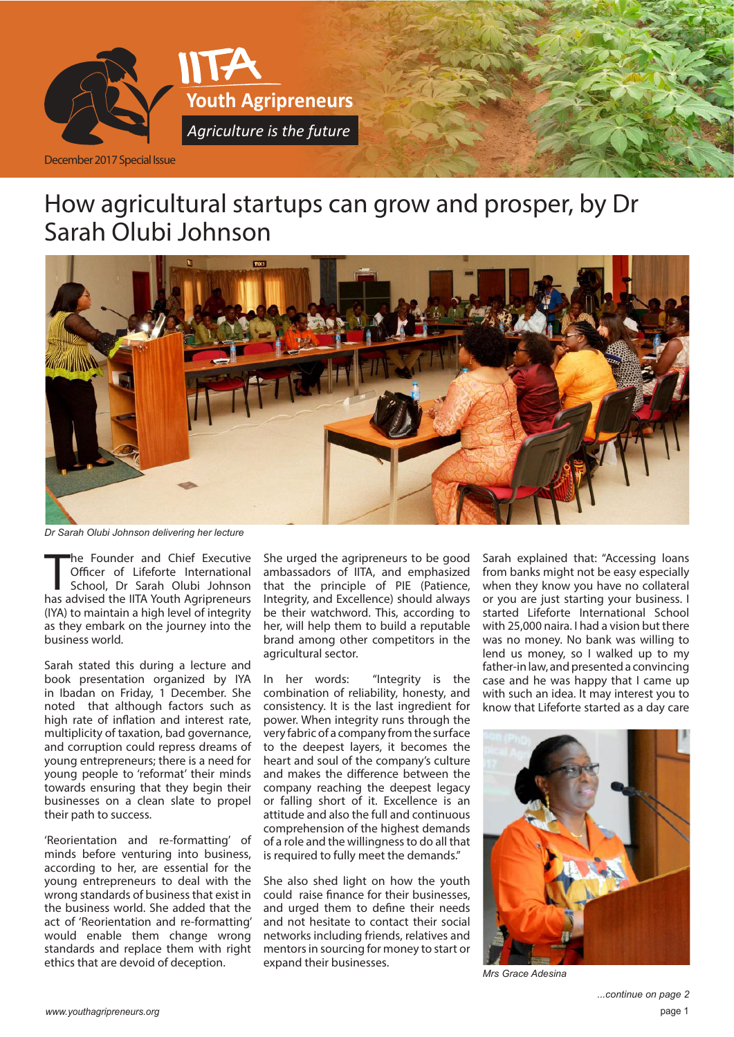

# How agricultural startups can grow and prosper, by Dr Sarah Olubi Johnson



*Dr Sarah Olubi Johnson delivering her lecture*

The Founder and Chief Executive<br>
Officer of Lifeforte International<br>
School, Dr Sarah Olubi Johnson<br>
has advised the IITA Youth Agripreneurs he Founder and Chief Executive Officer of Lifeforte International School, Dr Sarah Olubi Johnson (IYA) to maintain a high level of integrity as they embark on the journey into the business world.

Sarah stated this during a lecture and book presentation organized by IYA in Ibadan on Friday, 1 December. She noted that although factors such as high rate of inflation and interest rate, multiplicity of taxation, bad governance, and corruption could repress dreams of young entrepreneurs; there is a need for young people to 'reformat' their minds towards ensuring that they begin their businesses on a clean slate to propel their path to success.

'Reorientation and re-formatting' of minds before venturing into business, according to her, are essential for the young entrepreneurs to deal with the wrong standards of business that exist in the business world. She added that the act of 'Reorientation and re-formatting' would enable them change wrong standards and replace them with right ethics that are devoid of deception.

She urged the agripreneurs to be good ambassadors of IITA, and emphasized that the principle of PIE (Patience, Integrity, and Excellence) should always be their watchword. This, according to her, will help them to build a reputable brand among other competitors in the agricultural sector.

In her words: "Integrity is the combination of reliability, honesty, and consistency. It is the last ingredient for power. When integrity runs through the very fabric of a company from the surface to the deepest layers, it becomes the heart and soul of the company's culture and makes the difference between the company reaching the deepest legacy or falling short of it. Excellence is an attitude and also the full and continuous comprehension of the highest demands of a role and the willingness to do all that is required to fully meet the demands."

She also shed light on how the youth could raise finance for their businesses, and urged them to define their needs and not hesitate to contact their social networks including friends, relatives and mentors in sourcing for money to start or expand their businesses.

Sarah explained that: "Accessing loans from banks might not be easy especially when they know you have no collateral or you are just starting your business. I started Lifeforte International School with 25,000 naira. I had a vision but there was no money. No bank was willing to lend us money, so I walked up to my father-in law, and presented a convincing case and he was happy that I came up with such an idea. It may interest you to know that Lifeforte started as a day care



*Mrs Grace Adesina*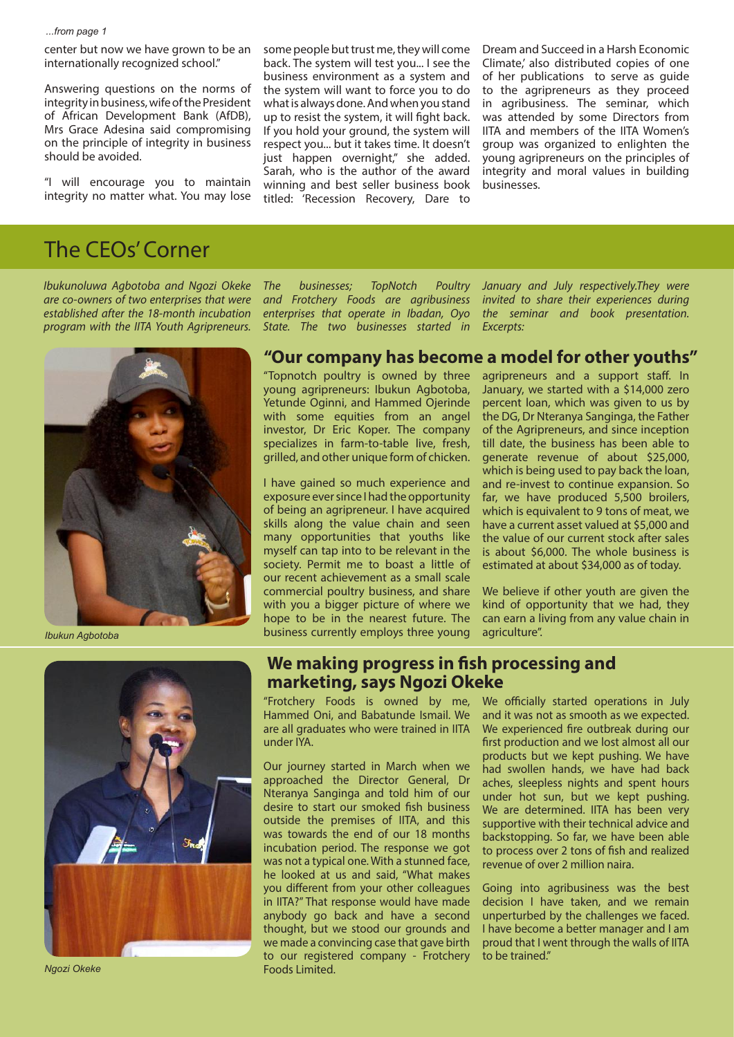center but now we have grown to be an internationally recognized school."

Answering questions on the norms of integrity in business, wife of the President of African Development Bank (AfDB), Mrs Grace Adesina said compromising on the principle of integrity in business should be avoided.

"I will encourage you to maintain integrity no matter what. You may lose some people but trust me, they will come back. The system will test you... I see the business environment as a system and the system will want to force you to do what is always done. And when you stand up to resist the system, it will fight back. If you hold your ground, the system will respect you... but it takes time. It doesn't just happen overnight," she added. Sarah, who is the author of the award winning and best seller business book titled: 'Recession Recovery, Dare to

Dream and Succeed in a Harsh Economic Climate,' also distributed copies of one of her publications to serve as guide to the agripreneurs as they proceed in agribusiness. The seminar, which was attended by some Directors from IITA and members of the IITA Women's group was organized to enlighten the young agripreneurs on the principles of integrity and moral values in building businesses.

### The CEOs' Corner

*Ibukunoluwa Agbotoba and Ngozi Okeke are co-owners of two enterprises that were established after the 18-month incubation program with the IITA Youth Agripreneurs.* 



*The businesses; TopNotch Poultry and Frotchery Foods are agribusiness enterprises that operate in Ibadan, Oyo State. The two businesses started in* 

*January and July respectively.They were invited to share their experiences during the seminar and book presentation. Excerpts:*

#### **"Our company has become a model for other youths"**

"Topnotch poultry is owned by three young agripreneurs: Ibukun Agbotoba, Yetunde Oginni, and Hammed Ojerinde with some equities from an angel investor, Dr Eric Koper. The company specializes in farm-to-table live, fresh, grilled, and other unique form of chicken.

I have gained so much experience and exposure ever since I had the opportunity of being an agripreneur. I have acquired skills along the value chain and seen many opportunities that youths like myself can tap into to be relevant in the society. Permit me to boast a little of our recent achievement as a small scale commercial poultry business, and share with you a bigger picture of where we hope to be in the nearest future. The business currently employs three young

agripreneurs and a support staff. In January, we started with a \$14,000 zero percent loan, which was given to us by the DG, Dr Nteranya Sanginga, the Father of the Agripreneurs, and since inception till date, the business has been able to generate revenue of about \$25,000, which is being used to pay back the loan, and re-invest to continue expansion. So far, we have produced 5,500 broilers, which is equivalent to 9 tons of meat, we have a current asset valued at \$5,000 and the value of our current stock after sales is about \$6,000. The whole business is estimated at about \$34,000 as of today.

We believe if other youth are given the kind of opportunity that we had, they can earn a living from any value chain in agriculture".

*Ibukun Agbotoba*



*Ngozi Okeke*

#### **We making progress in fish processing and marketing, says Ngozi Okeke**

"Frotchery Foods is owned by me, Hammed Oni, and Babatunde Ismail. We are all graduates who were trained in IITA under IYA.

Our journey started in March when we approached the Director General, Dr Nteranya Sanginga and told him of our desire to start our smoked fish business outside the premises of IITA, and this was towards the end of our 18 months incubation period. The response we got was not a typical one. With a stunned face, he looked at us and said, "What makes you different from your other colleagues in IITA?" That response would have made anybody go back and have a second thought, but we stood our grounds and we made a convincing case that gave birth to our registered company - Frotchery Foods Limited.

We officially started operations in July and it was not as smooth as we expected. We experienced fire outbreak during our first production and we lost almost all our products but we kept pushing. We have had swollen hands, we have had back aches, sleepless nights and spent hours under hot sun, but we kept pushing. We are determined. IITA has been very supportive with their technical advice and backstopping. So far, we have been able to process over 2 tons of fish and realized revenue of over 2 million naira.

Going into agribusiness was the best decision I have taken, and we remain unperturbed by the challenges we faced. I have become a better manager and I am proud that I went through the walls of IITA to be trained."